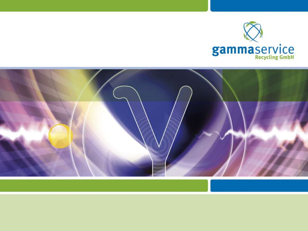

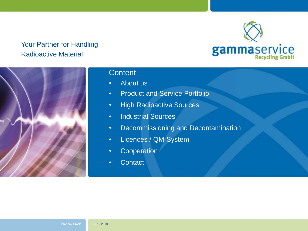



#### **Content**

- About us
- Product and Service Portfolio
- High Radioactive Sources
- Industrial Sources
- Decommissioning and Decontamination
- Licences / QM-System
- Cooperation
- Contact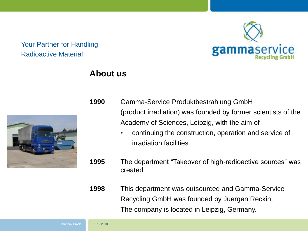

## **About us**

- **1990** Gamma-Service Produktbestrahlung GmbH (product irradiation) was founded by former scientists of the Academy of Sciences, Leipzig, with the aim of
	- continuing the construction, operation and service of irradiation facilities
- **1995** The department "Takeover of high-radioactive sources" was created

**1998** This department was outsourced and Gamma-Service Recycling GmbH was founded by Juergen Reckin. The company is located in Leipzig, Germany.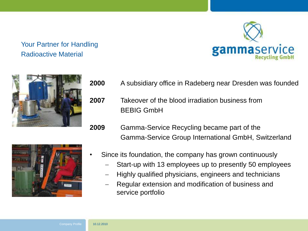



- **2000** A subsidiary office in Radeberg near Dresden was founded
- **2007** Takeover of the blood irradiation business from BEBIG GmbH
- **2009** Gamma-Service Recycling became part of the Gamma-Service Group International GmbH, Switzerland



- Since its foundation, the company has grown continuously
	- Start-up with 13 employees up to presently 50 employees
	- Highly qualified physicians, engineers and technicians
	- Regular extension and modification of business and service portfolio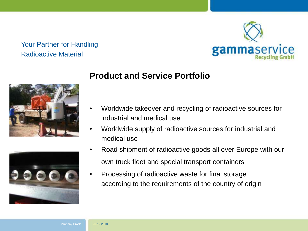



# **Product and Service Portfolio**

- Worldwide takeover and recycling of radioactive sources for industrial and medical use
- Worldwide supply of radioactive sources for industrial and medical use
- Road shipment of radioactive goods all over Europe with our own truck fleet and special transport containers
- Processing of radioactive waste for final storage according to the requirements of the country of origin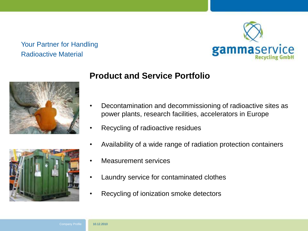



# **Product and Service Portfolio**

- Decontamination and decommissioning of radioactive sites as power plants, research facilities, accelerators in Europe
- Recycling of radioactive residues
- Availability of a wide range of radiation protection containers
- Measurement services
- Laundry service for contaminated clothes
- Recycling of ionization smoke detectors

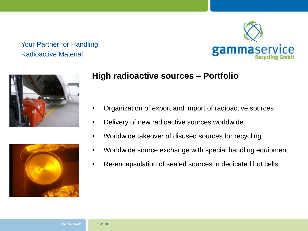





# **High radioactive sources – Portfolio**

- Organization of export and import of radioactive sources
- Delivery of new radioactive sources worldwide
- Worldwide takeover of disused sources for recycling
- Worldwide source exchange with special handling equipment
- Re-encapsulation of sealed sources in dedicated hot cells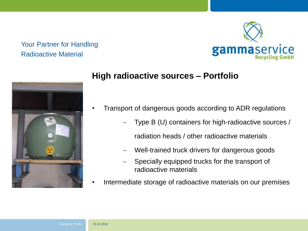



# **High radioactive sources – Portfolio**

- Transport of dangerous goods according to ADR regulations
	- Type B (U) containers for high-radioactive sources / radiation heads / other radioactive materials
	- Well-trained truck drivers for dangerous goods
	- Specially equipped trucks for the transport of radioactive materials
- Intermediate storage of radioactive materials on our premises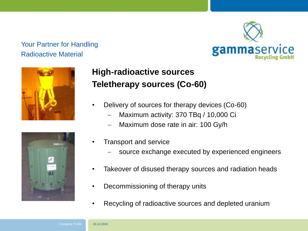





# **High-radioactive sources Teletherapy sources (Co-60)**

- Delivery of sources for therapy devices (Co-60)
	- Maximum activity: 370 TBq / 10,000 Ci
	- Maximum dose rate in air: 100 Gy/h
- Transport and service
	- source exchange executed by experienced engineers
- Takeover of disused therapy sources and radiation heads
- Decommissioning of therapy units
- Recycling of radioactive sources and depleted uranium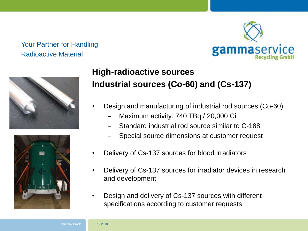





# **High-radioactive sources Industrial sources (Co-60) and (Cs-137)**

- Design and manufacturing of industrial rod sources (Co-60)
	- Maximum activity: 740 TBq / 20,000 Ci
	- Standard industrial rod source similar to C-188
	- Special source dimensions at customer request
- Delivery of Cs-137 sources for blood irradiators
- Delivery of Cs-137 sources for irradiator devices in research and development
- Design and delivery of Cs-137 sources with different specifications according to customer requests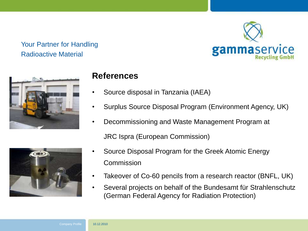



# **References**

- Source disposal in Tanzania (IAEA)
- Surplus Source Disposal Program (Environment Agency, UK)
- Decommissioning and Waste Management Program at



- Source Disposal Program for the Greek Atomic Energy Commission
- Takeover of Co-60 pencils from a research reactor (BNFL, UK)
- Several projects on behalf of the Bundesamt für Strahlenschutz (German Federal Agency for Radiation Protection)

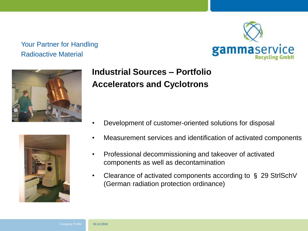





- Development of customer-oriented solutions for disposal
- Measurement services and identification of activated components
- Professional decommissioning and takeover of activated components as well as decontamination
- Clearance of activated components according to § 29 StrlSchV (German radiation protection ordinance)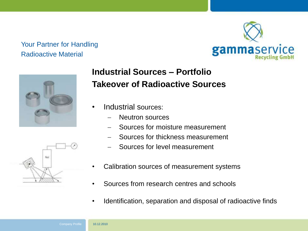



# **Industrial Sources – Portfolio Takeover of Radioactive Sources**

- Industrial sources:
	- Neutron sources
	- Sources for moisture measurement
	- Sources for thickness measurement
	- Sources for level measurement
- Calibration sources of measurement systems
- Sources from research centres and schools
- Identification, separation and disposal of radioactive finds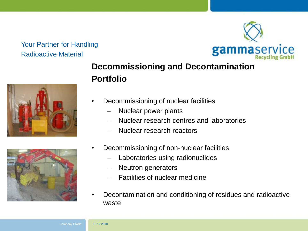





- Decommissioning of nuclear facilities
	- Nuclear power plants
	- Nuclear research centres and laboratories
	- Nuclear research reactors



- Decommissioning of non-nuclear facilities
	- Laboratories using radionuclides
	- Neutron generators
	- Facilities of nuclear medicine
- Decontamination and conditioning of residues and radioactive waste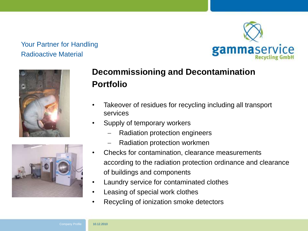





# **Decommissioning and Decontamination Portfolio**

- Takeover of residues for recycling including all transport services
- Supply of temporary workers
	- Radiation protection engineers
	- Radiation protection workmen
- Checks for contamination, clearance measurements according to the radiation protection ordinance and clearance of buildings and components
- Laundry service for contaminated clothes
- Leasing of special work clothes
- Recycling of ionization smoke detectors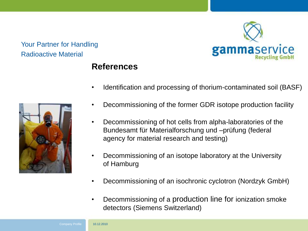

# **References**



- Identification and processing of thorium-contaminated soil (BASF)
- Decommissioning of the former GDR isotope production facility
- Decommissioning of hot cells from alpha-laboratories of the Bundesamt für Materialforschung und –prüfung (federal agency for material research and testing)
- Decommissioning of an isotope laboratory at the University of Hamburg
- Decommissioning of an isochronic cyclotron (Nordzyk GmbH)
- Decommissioning of a production line for ionization smoke detectors (Siemens Switzerland)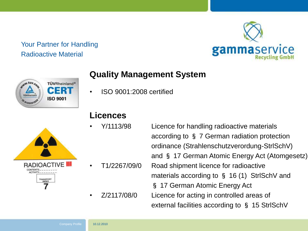



# **Quality Management System**

• ISO 9001:2008 certified



# **Licences**

- 
- 
- 

• Y/1113/98 Licence for handling radioactive materials according to § 7 German radiation protection ordinance (Strahlenschutzverordung-StrlSchV) and § 17 German Atomic Energy Act (Atomgesetz) • T1/2267/09/0 Road shipment licence for radioactive materials according to § 16 (1) StrlSchV and § 17 German Atomic Energy Act • Z/2117/08/0 Licence for acting in controlled areas of external facilities according to § 15 StrlSchV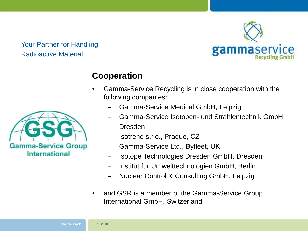

# **Cooperation**

- Gamma-Service Recycling is in close cooperation with the following companies:
	- Gamma-Service Medical GmbH, Leipzig
	- Gamma-Service Isotopen- und Strahlentechnik GmbH, Dresden
	- Isotrend s.r.o., Prague, CZ
	- Gamma-Service Ltd., Byfleet, UK
	- Isotope Technologies Dresden GmbH, Dresden
	- Institut für Umwelttechnologien GmbH, Berlin
	- Nuclear Control & Consulting GmbH, Leipzig
- and GSR is a member of the Gamma-Service Group International GmbH, Switzerland